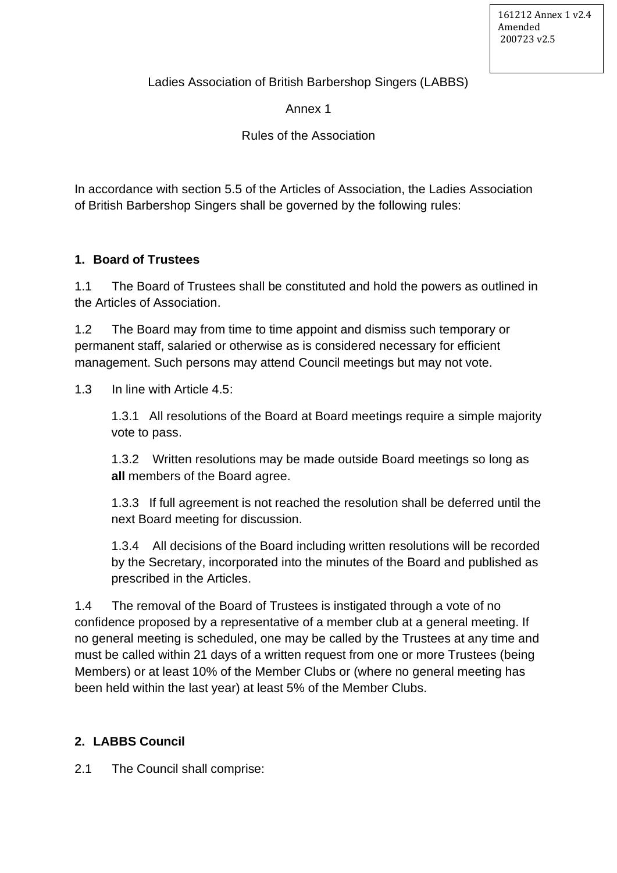Ladies Association of British Barbershop Singers (LABBS)

Annex 1

Rules of the Association

In accordance with section 5.5 of the Articles of Association, the Ladies Association of British Barbershop Singers shall be governed by the following rules:

## **1. Board of Trustees**

1.1 The Board of Trustees shall be constituted and hold the powers as outlined in the Articles of Association.

1.2 The Board may from time to time appoint and dismiss such temporary or permanent staff, salaried or otherwise as is considered necessary for efficient management. Such persons may attend Council meetings but may not vote.

1.3 In line with Article 4.5:

1.3.1 All resolutions of the Board at Board meetings require a simple majority vote to pass.

1.3.2 Written resolutions may be made outside Board meetings so long as **all** members of the Board agree.

1.3.3 If full agreement is not reached the resolution shall be deferred until the next Board meeting for discussion.

1.3.4 All decisions of the Board including written resolutions will be recorded by the Secretary, incorporated into the minutes of the Board and published as prescribed in the Articles.

1.4 The removal of the Board of Trustees is instigated through a vote of no confidence proposed by a representative of a member club at a general meeting. If no general meeting is scheduled, one may be called by the Trustees at any time and must be called within 21 days of a written request from one or more Trustees (being Members) or at least 10% of the Member Clubs or (where no general meeting has been held within the last year) at least 5% of the Member Clubs.

## **2. LABBS Council**

2.1 The Council shall comprise: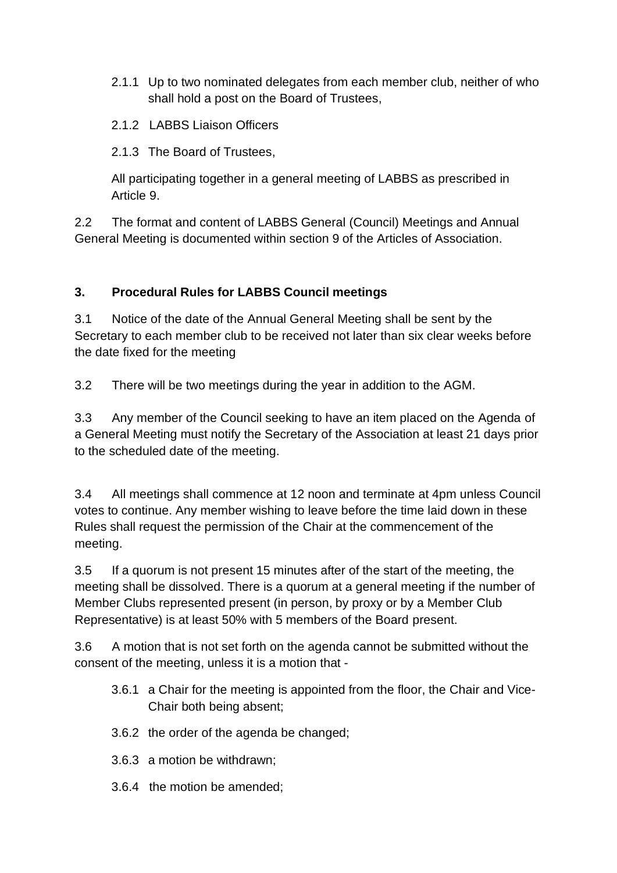- 2.1.1 Up to two nominated delegates from each member club, neither of who shall hold a post on the Board of Trustees,
- 2.1.2 LABBS Liaison Officers
- 2.1.3 The Board of Trustees,

All participating together in a general meeting of LABBS as prescribed in Article 9.

2.2 The format and content of LABBS General (Council) Meetings and Annual General Meeting is documented within section 9 of the Articles of Association.

## **3. Procedural Rules for LABBS Council meetings**

3.1 Notice of the date of the Annual General Meeting shall be sent by the Secretary to each member club to be received not later than six clear weeks before the date fixed for the meeting

3.2 There will be two meetings during the year in addition to the AGM.

3.3 Any member of the Council seeking to have an item placed on the Agenda of a General Meeting must notify the Secretary of the Association at least 21 days prior to the scheduled date of the meeting.

3.4 All meetings shall commence at 12 noon and terminate at 4pm unless Council votes to continue. Any member wishing to leave before the time laid down in these Rules shall request the permission of the Chair at the commencement of the meeting.

3.5 If a quorum is not present 15 minutes after of the start of the meeting, the meeting shall be dissolved. There is a quorum at a general meeting if the number of Member Clubs represented present (in person, by proxy or by a Member Club Representative) is at least 50% with 5 members of the Board present.

3.6 A motion that is not set forth on the agenda cannot be submitted without the consent of the meeting, unless it is a motion that -

- 3.6.1 a Chair for the meeting is appointed from the floor, the Chair and Vice-Chair both being absent;
- 3.6.2 the order of the agenda be changed;
- 3.6.3 a motion be withdrawn;
- 3.6.4 the motion be amended;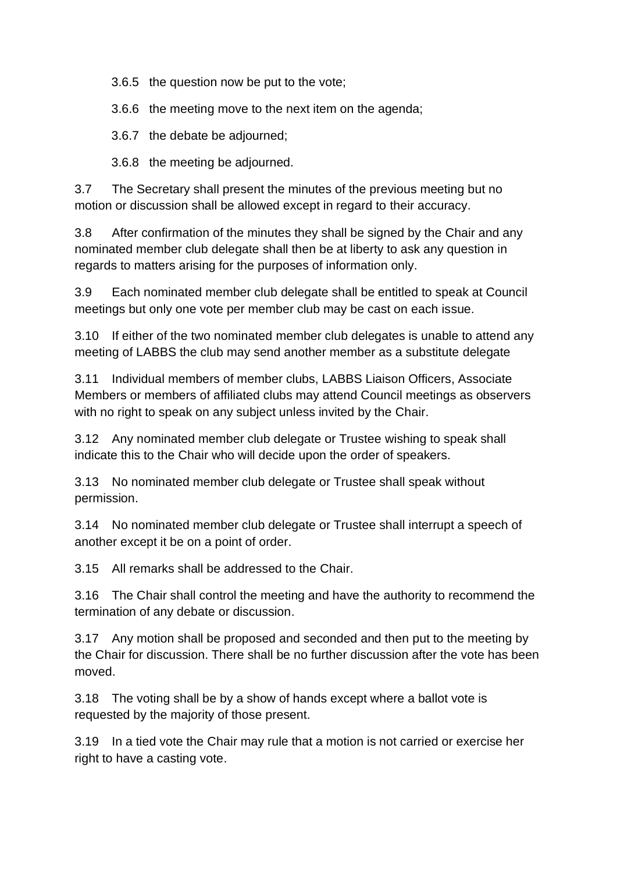3.6.5 the question now be put to the vote;

3.6.6 the meeting move to the next item on the agenda;

3.6.7 the debate be adjourned;

3.6.8 the meeting be adjourned.

3.7 The Secretary shall present the minutes of the previous meeting but no motion or discussion shall be allowed except in regard to their accuracy.

3.8 After confirmation of the minutes they shall be signed by the Chair and any nominated member club delegate shall then be at liberty to ask any question in regards to matters arising for the purposes of information only.

3.9 Each nominated member club delegate shall be entitled to speak at Council meetings but only one vote per member club may be cast on each issue.

3.10 If either of the two nominated member club delegates is unable to attend any meeting of LABBS the club may send another member as a substitute delegate

3.11 Individual members of member clubs, LABBS Liaison Officers, Associate Members or members of affiliated clubs may attend Council meetings as observers with no right to speak on any subject unless invited by the Chair.

3.12 Any nominated member club delegate or Trustee wishing to speak shall indicate this to the Chair who will decide upon the order of speakers.

3.13 No nominated member club delegate or Trustee shall speak without permission.

3.14 No nominated member club delegate or Trustee shall interrupt a speech of another except it be on a point of order.

3.15 All remarks shall be addressed to the Chair.

3.16 The Chair shall control the meeting and have the authority to recommend the termination of any debate or discussion.

3.17 Any motion shall be proposed and seconded and then put to the meeting by the Chair for discussion. There shall be no further discussion after the vote has been moved.

3.18 The voting shall be by a show of hands except where a ballot vote is requested by the majority of those present.

3.19 In a tied vote the Chair may rule that a motion is not carried or exercise her right to have a casting vote.